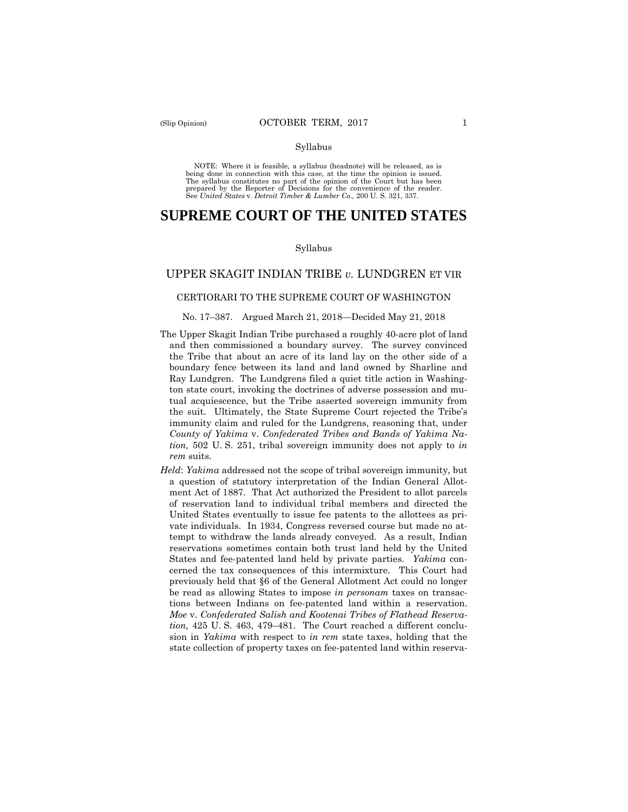### Syllabus

 NOTE: Where it is feasible, a syllabus (headnote) will be released, as is being done in connection with this case, at the time the opinion is issued. The syllabus constitutes no part of the opinion of the Court but has been<br>prepared by the Reporter of Decisions for the convenience of the reader.<br>See United States v. Detroit Timber & Lumber Co., 200 U.S. 321, 337.

# **SUPREME COURT OF THE UNITED STATES**

#### Syllabus

# UPPER SKAGIT INDIAN TRIBE *v.* LUNDGREN ET VIR

### CERTIORARI TO THE SUPREME COURT OF WASHINGTON

## No. 17–387. Argued March 21, 2018—Decided May 21, 2018

- The Upper Skagit Indian Tribe purchased a roughly 40-acre plot of land and then commissioned a boundary survey. The survey convinced the Tribe that about an acre of its land lay on the other side of a boundary fence between its land and land owned by Sharline and Ray Lundgren. The Lundgrens filed a quiet title action in Washington state court, invoking the doctrines of adverse possession and mutual acquiescence, but the Tribe asserted sovereign immunity from the suit. Ultimately, the State Supreme Court rejected the Tribe's immunity claim and ruled for the Lundgrens, reasoning that, under *County of Yakima* v. *Confederated Tribes and Bands of Yakima Nation,* 502 U. S. 251, tribal sovereign immunity does not apply to *in rem* suits.
- *Held*: *Yakima* addressed not the scope of tribal sovereign immunity, but a question of statutory interpretation of the Indian General Allotment Act of 1887. That Act authorized the President to allot parcels of reservation land to individual tribal members and directed the United States eventually to issue fee patents to the allottees as private individuals. In 1934, Congress reversed course but made no attempt to withdraw the lands already conveyed. As a result, Indian reservations sometimes contain both trust land held by the United States and fee-patented land held by private parties. *Yakima* concerned the tax consequences of this intermixture. This Court had previously held that §6 of the General Allotment Act could no longer be read as allowing States to impose *in personam* taxes on transactions between Indians on fee-patented land within a reservation. *Moe* v. *Confederated Salish and Kootenai Tribes of Flathead Reservation,* 425 U. S. 463, 479–481. The Court reached a different conclusion in *Yakima* with respect to *in rem* state taxes, holding that the state collection of property taxes on fee-patented land within reserva-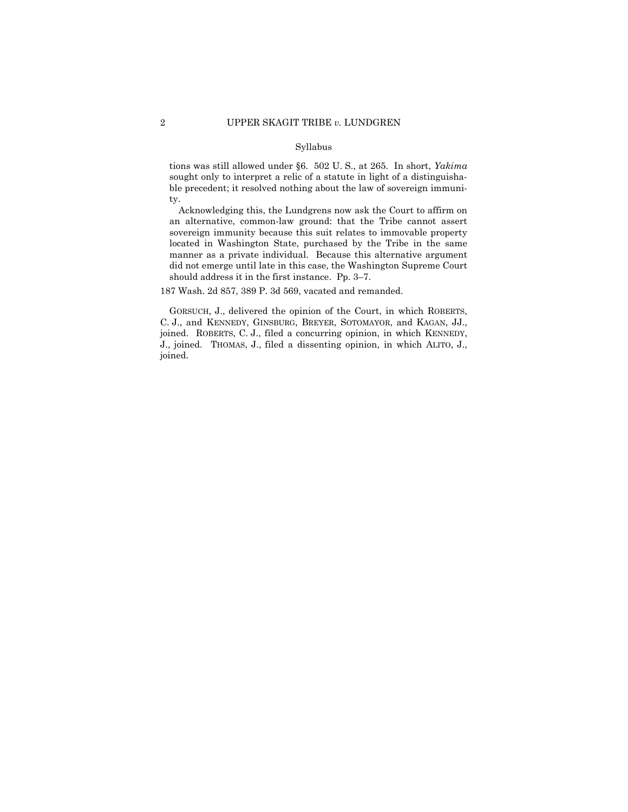# Syllabus

tions was still allowed under §6. 502 U. S., at 265. In short, *Yakima*  sought only to interpret a relic of a statute in light of a distinguishable precedent; it resolved nothing about the law of sovereign immunity.

Acknowledging this, the Lundgrens now ask the Court to affirm on an alternative, common-law ground: that the Tribe cannot assert sovereign immunity because this suit relates to immovable property located in Washington State, purchased by the Tribe in the same manner as a private individual. Because this alternative argument did not emerge until late in this case, the Washington Supreme Court should address it in the first instance. Pp. 3–7.

187 Wash. 2d 857, 389 P. 3d 569, vacated and remanded.

 GORSUCH, J., delivered the opinion of the Court, in which ROBERTS, C. J., and KENNEDY, GINSBURG, BREYER, SOTOMAYOR, and KAGAN, JJ., J., joined. THOMAS, J., filed a dissenting opinion, in which ALITO, J., joined. ROBERTS, C. J., filed a concurring opinion, in which KENNEDY, joined.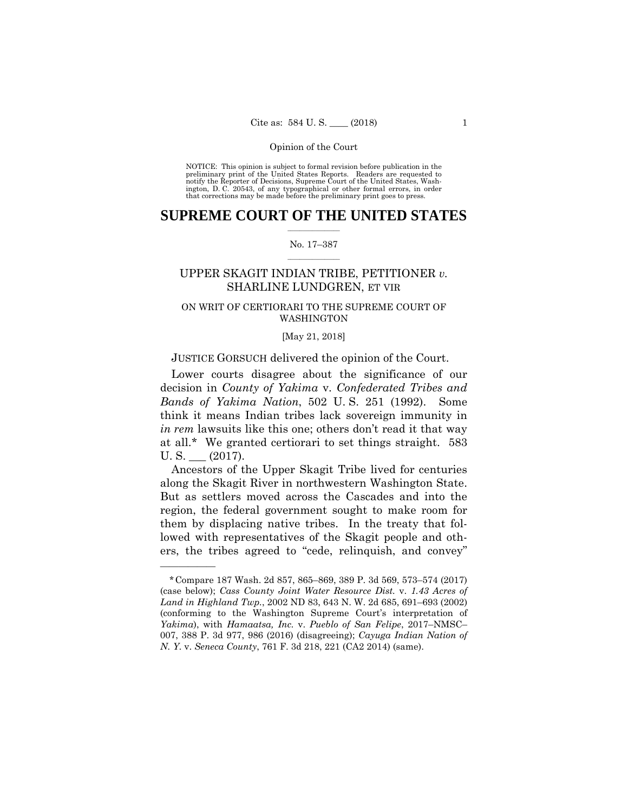preliminary print of the United States Reports. Readers are requested to notify the Reporter of Decisions, Supreme Court of the United States, Wash- ington, D. C. 20543, of any typographical or other formal errors, in order that corrections may be made before the preliminary print goes to press. NOTICE: This opinion is subject to formal revision before publication in the

# $\frac{1}{2}$  ,  $\frac{1}{2}$  ,  $\frac{1}{2}$  ,  $\frac{1}{2}$  ,  $\frac{1}{2}$  ,  $\frac{1}{2}$  ,  $\frac{1}{2}$ **SUPREME COURT OF THE UNITED STATES**

# $\frac{1}{2}$  ,  $\frac{1}{2}$  ,  $\frac{1}{2}$  ,  $\frac{1}{2}$  ,  $\frac{1}{2}$  ,  $\frac{1}{2}$ No. 17–387

# SHARLINE LUNDGREN, ET VIR UPPER SKAGIT INDIAN TRIBE, PETITIONER *v.*

# ON WRIT OF CERTIORARI TO THE SUPREME COURT OF WASHINGTON

#### [May 21, 2018]

# JUSTICE GORSUCH delivered the opinion of the Court.

Lower courts disagree about the significance of our decision in *County of Yakima* v. *Confederated Tribes and Bands of Yakima Nation*, 502 U. S. 251 (1992). Some think it means Indian tribes lack sovereign immunity in *in rem* lawsuits like this one; others don't read it that way at all.\* We granted certiorari to set things straight. 583  $U.S.$   $(2017).$ 

Ancestors of the Upper Skagit Tribe lived for centuries along the Skagit River in northwestern Washington State. But as settlers moved across the Cascades and into the region, the federal government sought to make room for them by displacing native tribes. In the treaty that followed with representatives of the Skagit people and others, the tribes agreed to "cede, relinquish, and convey"

 (case below); *Cass County Joint Water Resource Dist.* v. *1.43 Acres of*  \*Compare 187 Wash. 2d 857, 865–869, 389 P. 3d 569, 573–574 (2017) *Land in Highland Twp.*, 2002 ND 83, 643 N. W. 2d 685, 691–693 (2002) (conforming to the Washington Supreme Court's interpretation of *Yakima*), with *Hamaatsa, Inc.* v. *Pueblo of San Felipe*, 2017–NMSC– 007, 388 P. 3d 977, 986 (2016) (disagreeing); *Cayuga Indian Nation of N. Y.* v. *Seneca County*, 761 F. 3d 218, 221 (CA2 2014) (same).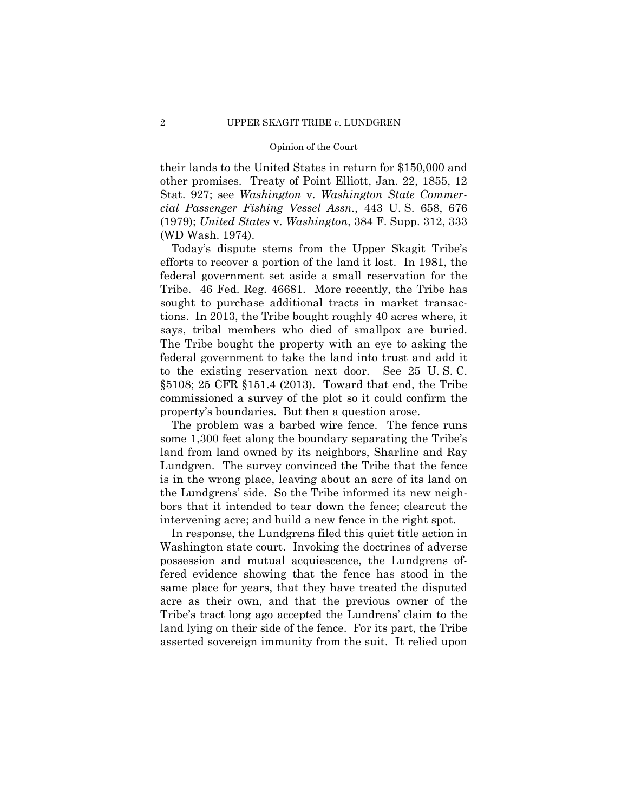their lands to the United States in return for \$150,000 and other promises. Treaty of Point Elliott, Jan. 22, 1855, 12 Stat. 927; see *Washington* v. *Washington State Commercial Passenger Fishing Vessel Assn.*, 443 U. S. 658, 676 (1979); *United States* v. *Washington*, 384 F. Supp. 312, 333 (WD Wash. 1974).

Today's dispute stems from the Upper Skagit Tribe's efforts to recover a portion of the land it lost. In 1981, the federal government set aside a small reservation for the Tribe. 46 Fed. Reg. 46681. More recently, the Tribe has sought to purchase additional tracts in market transactions. In 2013, the Tribe bought roughly 40 acres where, it says, tribal members who died of smallpox are buried. The Tribe bought the property with an eye to asking the federal government to take the land into trust and add it to the existing reservation next door. See 25 U. S. C. §5108; 25 CFR §151.4 (2013). Toward that end, the Tribe commissioned a survey of the plot so it could confirm the property's boundaries. But then a question arose.

The problem was a barbed wire fence. The fence runs some 1,300 feet along the boundary separating the Tribe's land from land owned by its neighbors, Sharline and Ray Lundgren. The survey convinced the Tribe that the fence is in the wrong place, leaving about an acre of its land on the Lundgrens' side. So the Tribe informed its new neighbors that it intended to tear down the fence; clearcut the intervening acre; and build a new fence in the right spot.

In response, the Lundgrens filed this quiet title action in Washington state court. Invoking the doctrines of adverse possession and mutual acquiescence, the Lundgrens offered evidence showing that the fence has stood in the same place for years, that they have treated the disputed acre as their own, and that the previous owner of the Tribe's tract long ago accepted the Lundrens' claim to the land lying on their side of the fence. For its part, the Tribe asserted sovereign immunity from the suit. It relied upon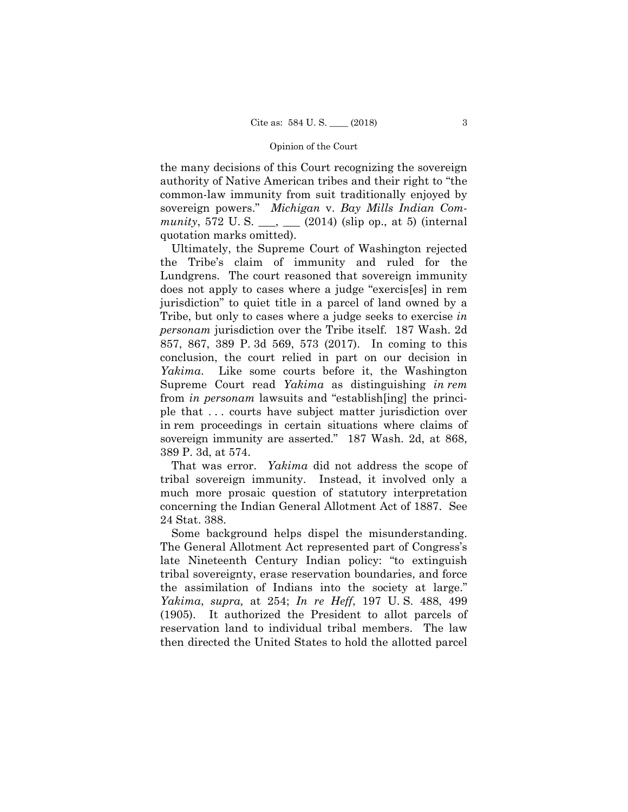the many decisions of this Court recognizing the sovereign authority of Native American tribes and their right to "the common-law immunity from suit traditionally enjoyed by sovereign powers." *Michigan* v. *Bay Mills Indian Community*, 572 U. S. \_\_\_, \_\_\_ (2014) (slip op., at 5) (internal quotation marks omitted).

 in rem proceedings in certain situations where claims of sovereign immunity are asserted." 187 Wash. 2d, at 868, Ultimately, the Supreme Court of Washington rejected the Tribe's claim of immunity and ruled for the Lundgrens. The court reasoned that sovereign immunity does not apply to cases where a judge "exercis[es] in rem jurisdiction" to quiet title in a parcel of land owned by a Tribe, but only to cases where a judge seeks to exercise *in personam* jurisdiction over the Tribe itself. 187 Wash. 2d 857, 867, 389 P. 3d 569, 573 (2017). In coming to this conclusion, the court relied in part on our decision in *Yakima*. Like some courts before it, the Washington Supreme Court read *Yakima* as distinguishing *in rem*  from *in personam* lawsuits and "establish[ing] the principle that . . . courts have subject matter jurisdiction over 389 P. 3d, at 574.

That was error. *Yakima* did not address the scope of tribal sovereign immunity. Instead, it involved only a much more prosaic question of statutory interpretation concerning the Indian General Allotment Act of 1887. See 24 Stat. 388.

Some background helps dispel the misunderstanding. The General Allotment Act represented part of Congress's late Nineteenth Century Indian policy: "to extinguish tribal sovereignty, erase reservation boundaries, and force the assimilation of Indians into the society at large." *Yakima*, *supra,* at 254; *In re Heff*, 197 U. S. 488, 499 (1905). It authorized the President to allot parcels of reservation land to individual tribal members. The law then directed the United States to hold the allotted parcel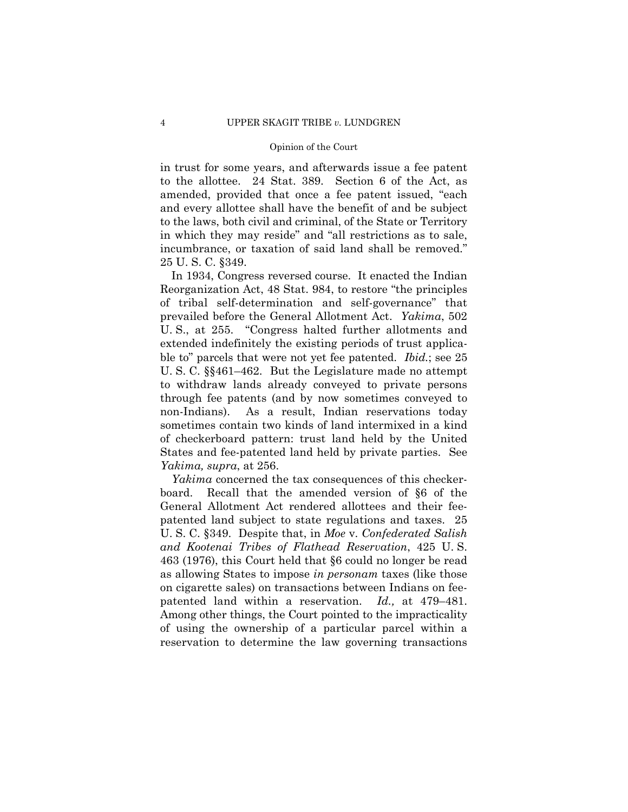in trust for some years, and afterwards issue a fee patent to the allottee. 24 Stat. 389. Section 6 of the Act, as amended, provided that once a fee patent issued, "each and every allottee shall have the benefit of and be subject to the laws, both civil and criminal, of the State or Territory in which they may reside" and "all restrictions as to sale, incumbrance, or taxation of said land shall be removed." 25 U. S. C. §349.

 prevailed before the General Allotment Act. *Yakima*, 502 In 1934, Congress reversed course. It enacted the Indian Reorganization Act, 48 Stat. 984, to restore "the principles of tribal self-determination and self-governance" that U. S., at 255. "Congress halted further allotments and extended indefinitely the existing periods of trust applicable to" parcels that were not yet fee patented. *Ibid.*; see 25 U. S. C. §§461–462. But the Legislature made no attempt to withdraw lands already conveyed to private persons through fee patents (and by now sometimes conveyed to non-Indians). As a result, Indian reservations today sometimes contain two kinds of land intermixed in a kind of checkerboard pattern: trust land held by the United States and fee-patented land held by private parties. See *Yakima, supra*, at 256.

*Id.*, at 479–481. *Yakima* concerned the tax consequences of this checkerboard. Recall that the amended version of §6 of the General Allotment Act rendered allottees and their feepatented land subject to state regulations and taxes. 25 U. S. C. §349. Despite that, in *Moe* v. *Confederated Salish and Kootenai Tribes of Flathead Reservation*, 425 U. S. 463 (1976), this Court held that §6 could no longer be read as allowing States to impose *in personam* taxes (like those on cigarette sales) on transactions between Indians on feepatented land within a reservation. *Id.*, at 479–481. Among other things, the Court pointed to the impracticality of using the ownership of a particular parcel within a reservation to determine the law governing transactions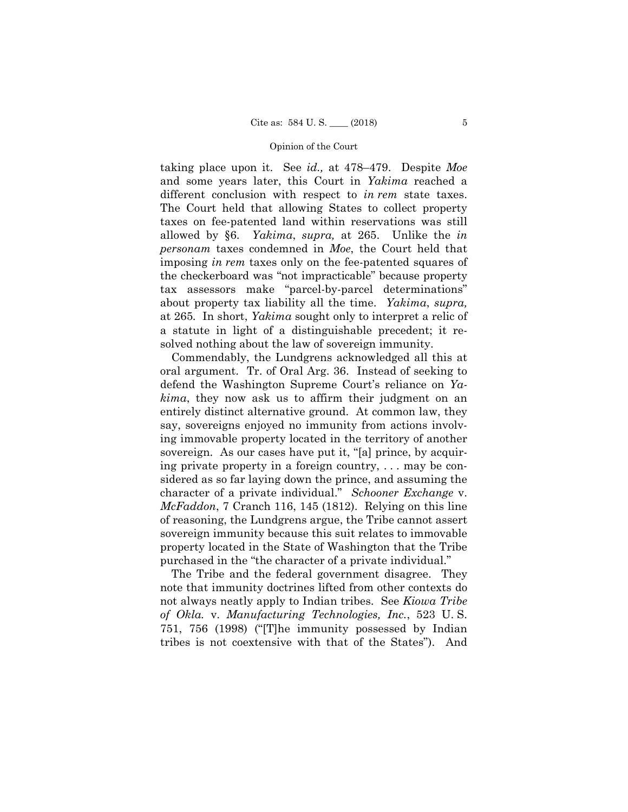taking place upon it. See *id.,* at 478–479. Despite *Moe*  and some years later, this Court in *Yakima* reached a different conclusion with respect to *in rem* state taxes. The Court held that allowing States to collect property taxes on fee-patented land within reservations was still allowed by §6. *Yakima*, *supra,* at 265. Unlike the *in personam* taxes condemned in *Moe*, the Court held that imposing *in rem* taxes only on the fee-patented squares of the checkerboard was "not impracticable" because property tax assessors make "parcel-by-parcel determinations" about property tax liability all the time. *Yakima*, *supra,* at 265*.* In short, *Yakima* sought only to interpret a relic of a statute in light of a distinguishable precedent; it resolved nothing about the law of sovereign immunity.

Commendably, the Lundgrens acknowledged all this at oral argument. Tr. of Oral Arg. 36. Instead of seeking to defend the Washington Supreme Court's reliance on *Yakima*, they now ask us to affirm their judgment on an entirely distinct alternative ground. At common law, they say, sovereigns enjoyed no immunity from actions involving immovable property located in the territory of another sovereign. As our cases have put it, "[a] prince, by acquiring private property in a foreign country, . . . may be considered as so far laying down the prince, and assuming the character of a private individual." *Schooner Exchange* v. *McFaddon*, 7 Cranch 116, 145 (1812). Relying on this line of reasoning, the Lundgrens argue, the Tribe cannot assert sovereign immunity because this suit relates to immovable property located in the State of Washington that the Tribe purchased in the "the character of a private individual."

The Tribe and the federal government disagree. They note that immunity doctrines lifted from other contexts do not always neatly apply to Indian tribes. See *Kiowa Tribe of Okla.* v. *Manufacturing Technologies, Inc.*, 523 U. S. 751, 756 (1998) ("[T]he immunity possessed by Indian tribes is not coextensive with that of the States"). And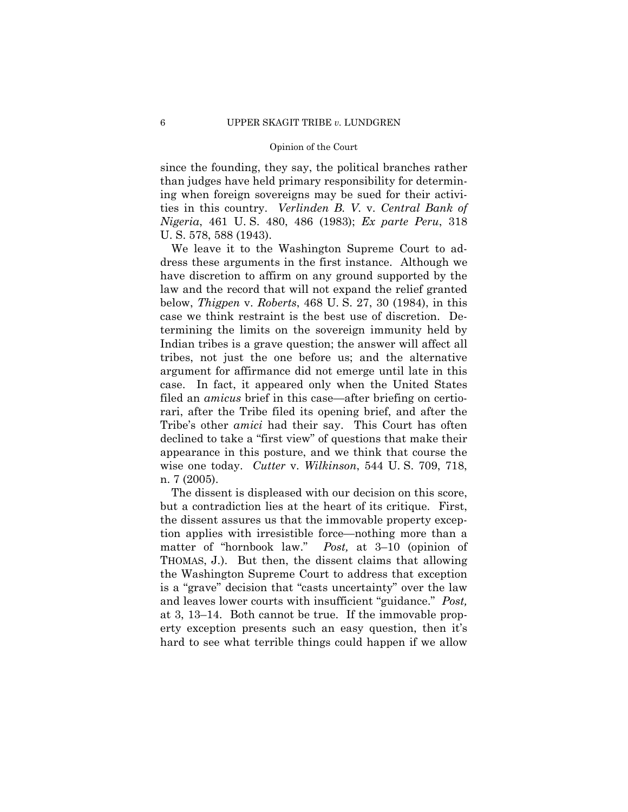ties in this country. *Verlinden B. V.* v. *Central Bank of*  since the founding, they say, the political branches rather than judges have held primary responsibility for determining when foreign sovereigns may be sued for their activi-*Nigeria*, 461 U. S. 480, 486 (1983); *Ex parte Peru*, 318 U. S. 578, 588 (1943).

We leave it to the Washington Supreme Court to address these arguments in the first instance. Although we have discretion to affirm on any ground supported by the law and the record that will not expand the relief granted below, *Thigpen* v. *Roberts*, 468 U. S. 27, 30 (1984), in this case we think restraint is the best use of discretion. Determining the limits on the sovereign immunity held by Indian tribes is a grave question; the answer will affect all tribes, not just the one before us; and the alternative argument for affirmance did not emerge until late in this case. In fact, it appeared only when the United States filed an *amicus* brief in this case—after briefing on certiorari, after the Tribe filed its opening brief, and after the Tribe's other *amici* had their say. This Court has often declined to take a "first view" of questions that make their appearance in this posture, and we think that course the wise one today. *Cutter* v. *Wilkinson*, 544 U. S. 709, 718, n. 7 (2005).

The dissent is displeased with our decision on this score, but a contradiction lies at the heart of its critique. First, the dissent assures us that the immovable property exception applies with irresistible force—nothing more than a matter of "hornbook law." *Post,* at 3–10 (opinion of THOMAS, J.). But then, the dissent claims that allowing the Washington Supreme Court to address that exception is a "grave" decision that "casts uncertainty" over the law and leaves lower courts with insufficient "guidance." *Post,*  at 3, 13–14. Both cannot be true. If the immovable property exception presents such an easy question, then it's hard to see what terrible things could happen if we allow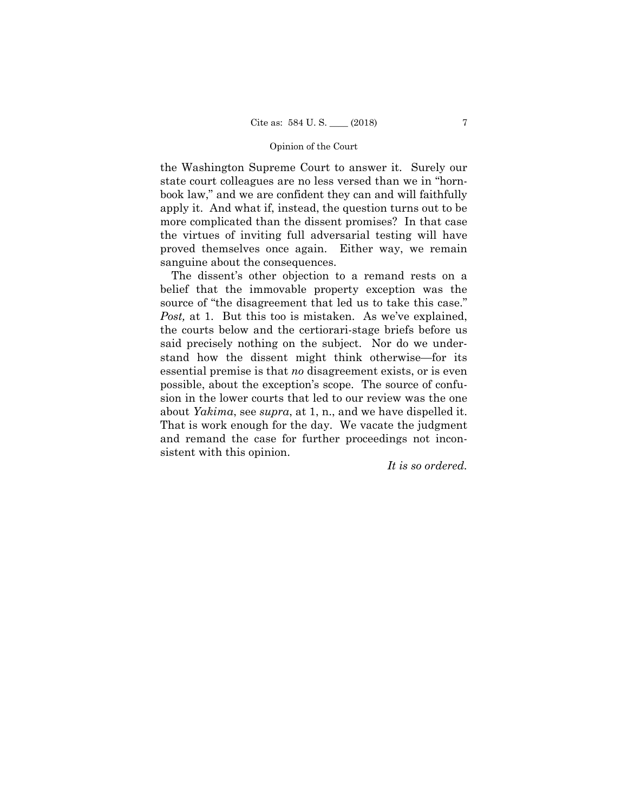the Washington Supreme Court to answer it. Surely our state court colleagues are no less versed than we in "hornbook law," and we are confident they can and will faithfully apply it. And what if, instead, the question turns out to be more complicated than the dissent promises? In that case the virtues of inviting full adversarial testing will have proved themselves once again. Either way, we remain sanguine about the consequences.

The dissent's other objection to a remand rests on a belief that the immovable property exception was the source of "the disagreement that led us to take this case." *Post,* at 1. But this too is mistaken. As we've explained, the courts below and the certiorari-stage briefs before us said precisely nothing on the subject. Nor do we understand how the dissent might think otherwise—for its essential premise is that *no* disagreement exists, or is even possible, about the exception's scope. The source of confusion in the lower courts that led to our review was the one about *Yakima*, see *supra*, at 1, n., and we have dispelled it. That is work enough for the day. We vacate the judgment and remand the case for further proceedings not inconsistent with this opinion.

*It is so ordered.*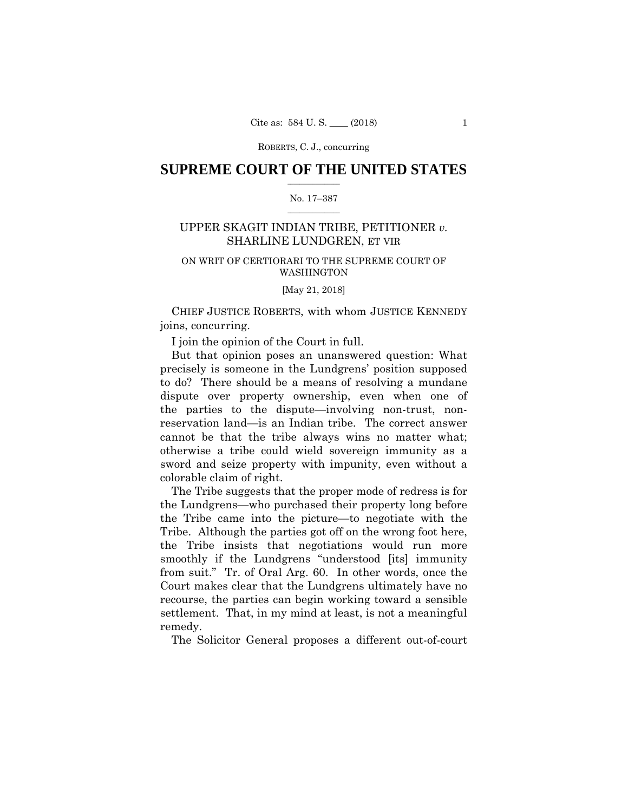ROBERTS, C. J., concurring

# $\frac{1}{2}$  ,  $\frac{1}{2}$  ,  $\frac{1}{2}$  ,  $\frac{1}{2}$  ,  $\frac{1}{2}$  ,  $\frac{1}{2}$  ,  $\frac{1}{2}$ **SUPREME COURT OF THE UNITED STATES**

# $\frac{1}{2}$  ,  $\frac{1}{2}$  ,  $\frac{1}{2}$  ,  $\frac{1}{2}$  ,  $\frac{1}{2}$  ,  $\frac{1}{2}$ No. 17–387

# SHARLINE LUNDGREN, ET VIR UPPER SKAGIT INDIAN TRIBE, PETITIONER *v.*

# ON WRIT OF CERTIORARI TO THE SUPREME COURT OF WASHINGTON

[May 21, 2018]

CHIEF JUSTICE ROBERTS, with whom JUSTICE KENNEDY joins, concurring.

I join the opinion of the Court in full.

But that opinion poses an unanswered question: What precisely is someone in the Lundgrens' position supposed to do? There should be a means of resolving a mundane dispute over property ownership, even when one of the parties to the dispute—involving non-trust, nonreservation land—is an Indian tribe. The correct answer cannot be that the tribe always wins no matter what; otherwise a tribe could wield sovereign immunity as a sword and seize property with impunity, even without a colorable claim of right.

The Tribe suggests that the proper mode of redress is for the Lundgrens—who purchased their property long before the Tribe came into the picture—to negotiate with the Tribe. Although the parties got off on the wrong foot here, the Tribe insists that negotiations would run more smoothly if the Lundgrens "understood [its] immunity from suit." Tr. of Oral Arg. 60. In other words, once the Court makes clear that the Lundgrens ultimately have no recourse, the parties can begin working toward a sensible settlement. That, in my mind at least, is not a meaningful remedy.

The Solicitor General proposes a different out-of-court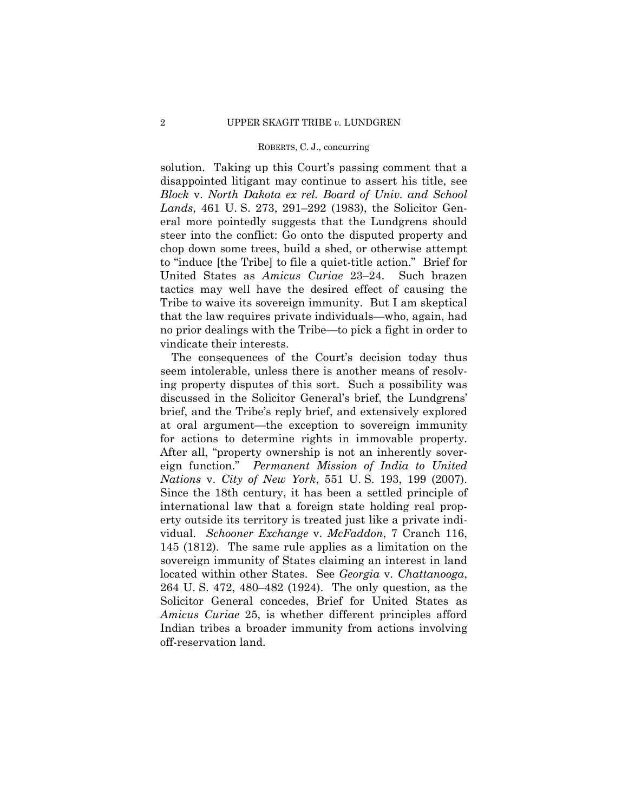#### ROBERTS, C. J., concurring

solution. Taking up this Court's passing comment that a disappointed litigant may continue to assert his title, see *Block* v. *North Dakota ex rel. Board of Univ. and School Lands*, 461 U. S. 273, 291–292 (1983), the Solicitor General more pointedly suggests that the Lundgrens should steer into the conflict: Go onto the disputed property and chop down some trees, build a shed, or otherwise attempt to "induce [the Tribe] to file a quiet-title action." Brief for United States as *Amicus Curiae* 23–24. Such brazen tactics may well have the desired effect of causing the Tribe to waive its sovereign immunity. But I am skeptical that the law requires private individuals—who, again, had no prior dealings with the Tribe—to pick a fight in order to vindicate their interests.

The consequences of the Court's decision today thus seem intolerable, unless there is another means of resolving property disputes of this sort. Such a possibility was discussed in the Solicitor General's brief, the Lundgrens' brief, and the Tribe's reply brief, and extensively explored at oral argument—the exception to sovereign immunity for actions to determine rights in immovable property. After all, "property ownership is not an inherently sovereign function." *Permanent Mission of India to United Nations* v. *City of New York*, 551 U. S. 193, 199 (2007). Since the 18th century, it has been a settled principle of international law that a foreign state holding real property outside its territory is treated just like a private individual. *Schooner Exchange* v. *McFaddon*, 7 Cranch 116, 145 (1812). The same rule applies as a limitation on the sovereign immunity of States claiming an interest in land located within other States. See *Georgia* v. *Chattanooga*, 264 U. S. 472, 480–482 (1924). The only question, as the Solicitor General concedes, Brief for United States as *Amicus Curiae* 25, is whether different principles afford Indian tribes a broader immunity from actions involving off-reservation land.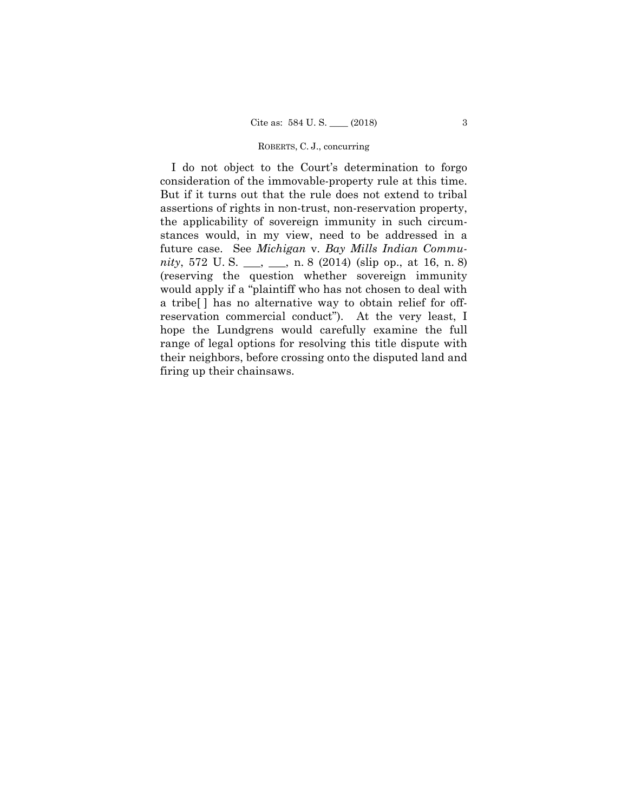#### ROBERTS, C. J., concurring

I do not object to the Court's determination to forgo consideration of the immovable-property rule at this time. But if it turns out that the rule does not extend to tribal assertions of rights in non-trust, non-reservation property, the applicability of sovereign immunity in such circumstances would, in my view, need to be addressed in a future case. See *Michigan* v. *Bay Mills Indian Community*, 572 U. S. \_\_\_, \_\_\_, n. 8 (2014) (slip op., at 16, n. 8) (reserving the question whether sovereign immunity would apply if a "plaintiff who has not chosen to deal with a tribe[ ] has no alternative way to obtain relief for offreservation commercial conduct"). At the very least, I hope the Lundgrens would carefully examine the full range of legal options for resolving this title dispute with their neighbors, before crossing onto the disputed land and firing up their chainsaws.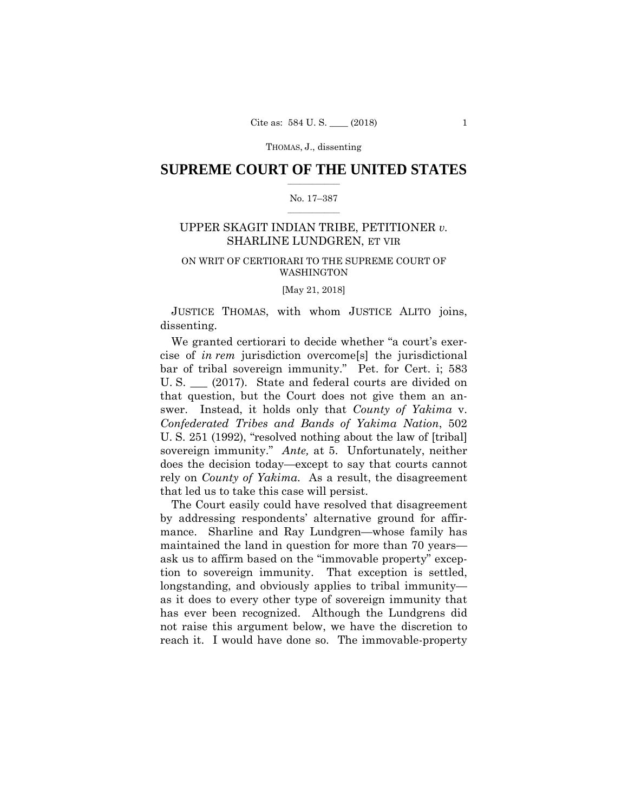# $\frac{1}{2}$  ,  $\frac{1}{2}$  ,  $\frac{1}{2}$  ,  $\frac{1}{2}$  ,  $\frac{1}{2}$  ,  $\frac{1}{2}$  ,  $\frac{1}{2}$ **SUPREME COURT OF THE UNITED STATES**

# $\frac{1}{2}$  ,  $\frac{1}{2}$  ,  $\frac{1}{2}$  ,  $\frac{1}{2}$  ,  $\frac{1}{2}$  ,  $\frac{1}{2}$ No. 17–387

# SHARLINE LUNDGREN, ET VIR UPPER SKAGIT INDIAN TRIBE, PETITIONER *v.*

# ON WRIT OF CERTIORARI TO THE SUPREME COURT OF WASHINGTON

[May 21, 2018]

JUSTICE THOMAS, with whom JUSTICE ALITO joins, dissenting.

We granted certiorari to decide whether "a court's exercise of *in rem* jurisdiction overcome[s] the jurisdictional bar of tribal sovereign immunity." Pet. for Cert. i; 583 U. S. \_\_\_ (2017). State and federal courts are divided on that question, but the Court does not give them an answer. Instead, it holds only that *County of Yakima* v. *Confederated Tribes and Bands of Yakima Nation*, 502 U. S. 251 (1992), "resolved nothing about the law of [tribal] sovereign immunity." *Ante,* at 5. Unfortunately, neither does the decision today—except to say that courts cannot rely on *County of Yakima*. As a result, the disagreement that led us to take this case will persist.

The Court easily could have resolved that disagreement by addressing respondents' alternative ground for affirmance. Sharline and Ray Lundgren—whose family has maintained the land in question for more than 70 years ask us to affirm based on the "immovable property" exception to sovereign immunity. That exception is settled, longstanding, and obviously applies to tribal immunity as it does to every other type of sovereign immunity that has ever been recognized. Although the Lundgrens did not raise this argument below, we have the discretion to reach it. I would have done so. The immovable-property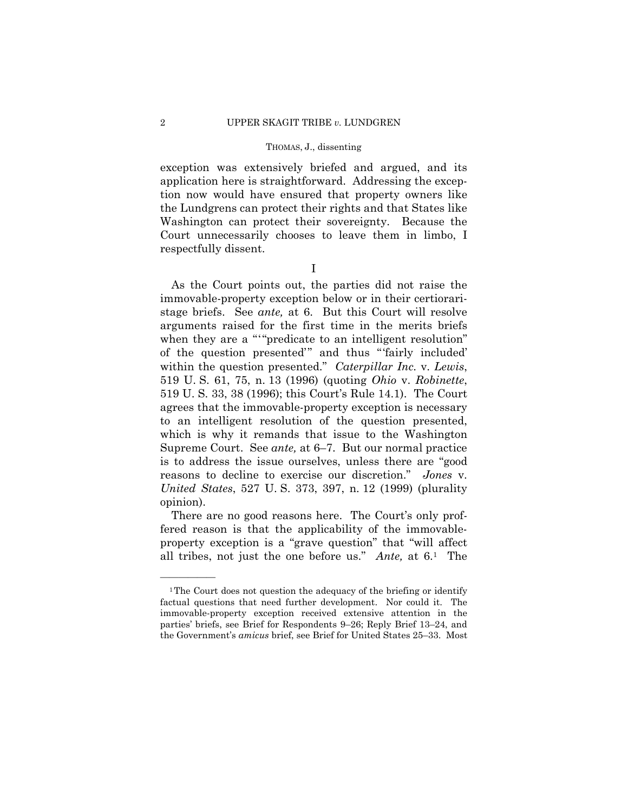exception was extensively briefed and argued, and its application here is straightforward. Addressing the exception now would have ensured that property owners like the Lundgrens can protect their rights and that States like Washington can protect their sovereignty. Because the Court unnecessarily chooses to leave them in limbo, I respectfully dissent.

I

when they are a ""predicate to an intelligent resolution" As the Court points out, the parties did not raise the immovable-property exception below or in their certioraristage briefs. See *ante,* at 6. But this Court will resolve arguments raised for the first time in the merits briefs of the question presented'" and thus "'fairly included' within the question presented." *Caterpillar Inc.* v. *Lewis*, 519 U. S. 61, 75, n. 13 (1996) (quoting *Ohio* v. *Robinette*, 519 U. S. 33, 38 (1996); this Court's Rule 14.1). The Court agrees that the immovable-property exception is necessary to an intelligent resolution of the question presented, which is why it remands that issue to the Washington Supreme Court. See *ante,* at 6–7. But our normal practice is to address the issue ourselves, unless there are "good reasons to decline to exercise our discretion." *Jones* v. *United States*, 527 U. S. 373, 397, n. 12 (1999) (plurality opinion).

There are no good reasons here. The Court's only proffered reason is that the applicability of the immovableproperty exception is a "grave question" that "will affect all tribes, not just the one before us." *Ante,* at 6.1 The

 the Government's *amicus* brief, see Brief for United States 25–33. Most <sup>1</sup>The Court does not question the adequacy of the briefing or identify factual questions that need further development. Nor could it. The immovable-property exception received extensive attention in the parties' briefs, see Brief for Respondents 9–26; Reply Brief 13–24, and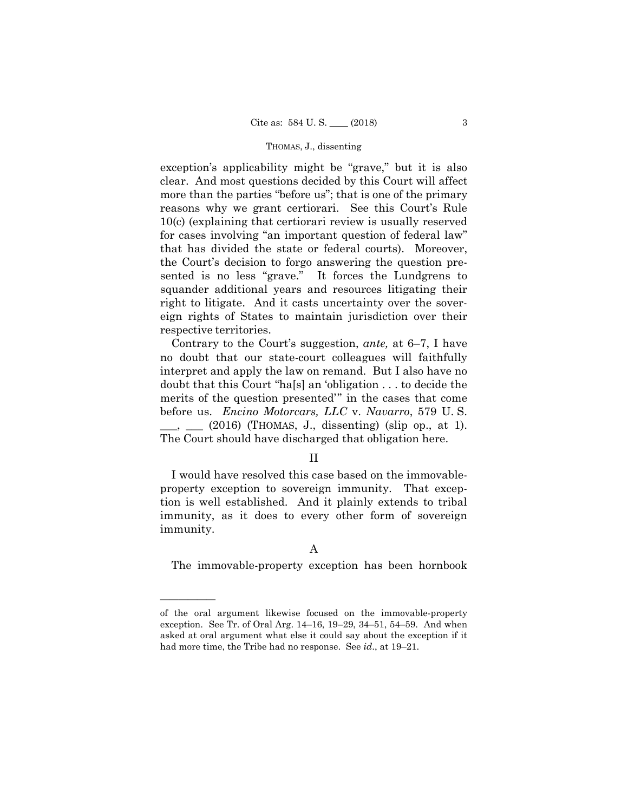exception's applicability might be "grave," but it is also clear. And most questions decided by this Court will affect more than the parties "before us"; that is one of the primary reasons why we grant certiorari. See this Court's Rule 10(c) (explaining that certiorari review is usually reserved for cases involving "an important question of federal law" that has divided the state or federal courts). Moreover, the Court's decision to forgo answering the question presented is no less "grave." It forces the Lundgrens to squander additional years and resources litigating their right to litigate. And it casts uncertainty over the sovereign rights of States to maintain jurisdiction over their respective territories.

Contrary to the Court's suggestion, *ante,* at 6–7, I have no doubt that our state-court colleagues will faithfully interpret and apply the law on remand. But I also have no doubt that this Court "ha[s] an 'obligation . . . to decide the merits of the question presented'" in the cases that come before us. *Encino Motorcars, LLC* v. *Navarro*, 579 U. S. \_\_\_, \_\_\_ (2016) (THOMAS, J., dissenting) (slip op., at 1). The Court should have discharged that obligation here.

# II

I would have resolved this case based on the immovableproperty exception to sovereign immunity. That exception is well established. And it plainly extends to tribal immunity, as it does to every other form of sovereign immunity.

# A

The immovable-property exception has been hornbook<br>
————————————————————

of the oral argument likewise focused on the immovable-property exception. See Tr. of Oral Arg. 14–16, 19–29, 34–51, 54–59. And when asked at oral argument what else it could say about the exception if it had more time, the Tribe had no response. See *id*., at 19–21.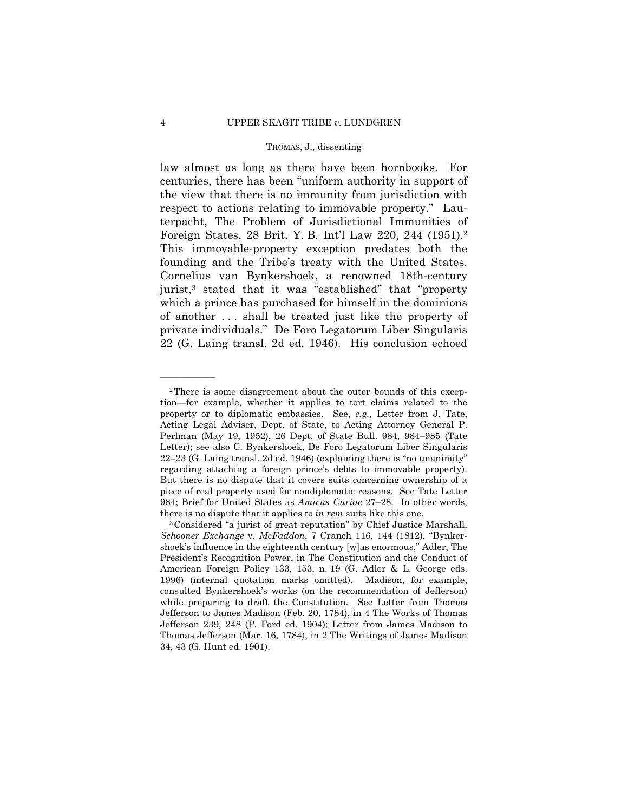Foreign States, 28 Brit. Y. B. Int'l Law 220, 244 (1951).2 law almost as long as there have been hornbooks. For centuries, there has been "uniform authority in support of the view that there is no immunity from jurisdiction with respect to actions relating to immovable property." Lauterpacht, The Problem of Jurisdictional Immunities of This immovable-property exception predates both the founding and the Tribe's treaty with the United States. Cornelius van Bynkershoek, a renowned 18th-century jurist,3 stated that it was "established" that "property which a prince has purchased for himself in the dominions of another . . . shall be treated just like the property of private individuals." De Foro Legatorum Liber Singularis 22 (G. Laing transl. 2d ed. 1946). His conclusion echoed

 tion—for example, whether it applies to tort claims related to the regarding attaching a foreign prince's debts to immovable property). 2There is some disagreement about the outer bounds of this excepproperty or to diplomatic embassies. See, *e.g.,* Letter from J. Tate, Acting Legal Adviser, Dept. of State, to Acting Attorney General P. Perlman (May 19, 1952), 26 Dept. of State Bull. 984, 984–985 (Tate Letter); see also C. Bynkershoek, De Foro Legatorum Liber Singularis 22–23 (G. Laing transl. 2d ed. 1946) (explaining there is "no unanimity" But there is no dispute that it covers suits concerning ownership of a piece of real property used for nondiplomatic reasons. See Tate Letter 984; Brief for United States as *Amicus Curiae* 27–28. In other words, there is no dispute that it applies to *in rem* suits like this one.<br><sup>3</sup>Considered "a jurist of great reputation" by Chief Justice Marshall,

*Schooner Exchange* v. *McFaddon*, 7 Cranch 116, 144 (1812), "Bynkershoek's influence in the eighteenth century [w]as enormous," Adler, The President's Recognition Power, in The Constitution and the Conduct of American Foreign Policy 133, 153, n. 19 (G. Adler & L. George eds. 1996) (internal quotation marks omitted). Madison, for example, consulted Bynkershoek's works (on the recommendation of Jefferson) while preparing to draft the Constitution. See Letter from Thomas Jefferson to James Madison (Feb. 20, 1784), in 4 The Works of Thomas Jefferson 239, 248 (P. Ford ed. 1904); Letter from James Madison to Thomas Jefferson (Mar. 16, 1784), in 2 The Writings of James Madison 34, 43 (G. Hunt ed. 1901).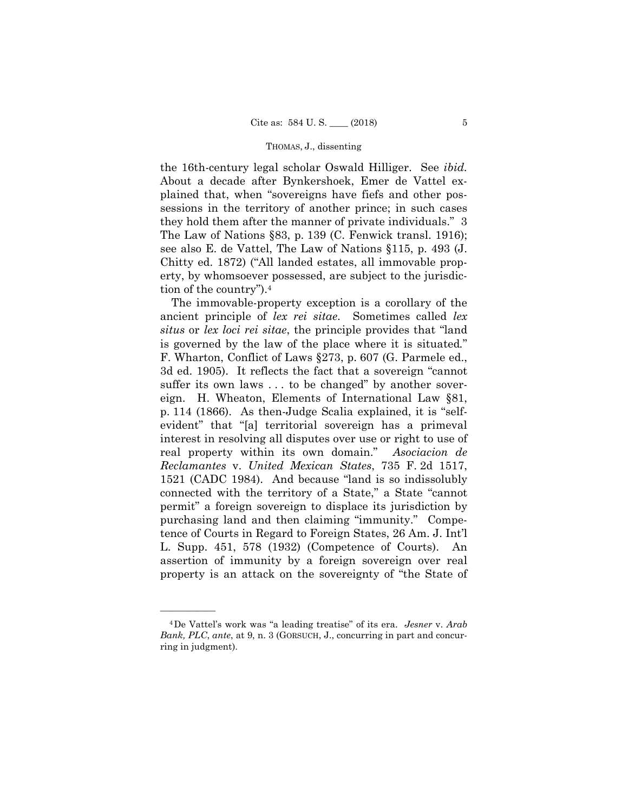the 16th-century legal scholar Oswald Hilliger. See *ibid.*  About a decade after Bynkershoek, Emer de Vattel explained that, when "sovereigns have fiefs and other possessions in the territory of another prince; in such cases they hold them after the manner of private individuals." 3 The Law of Nations §83, p. 139 (C. Fenwick transl. 1916); see also E. de Vattel, The Law of Nations §115, p. 493 (J. Chitty ed. 1872) ("All landed estates, all immovable property, by whomsoever possessed, are subject to the jurisdiction of the country").4

 property is an attack on the sovereignty of "the State of —————— The immovable-property exception is a corollary of the ancient principle of *lex rei sitae*. Sometimes called *lex situs* or *lex loci rei sitae*, the principle provides that "land is governed by the law of the place where it is situated*.*" F. Wharton, Conflict of Laws §273, p. 607 (G. Parmele ed., 3d ed. 1905). It reflects the fact that a sovereign "cannot suffer its own laws ... to be changed" by another sovereign. H. Wheaton, Elements of International Law §81, p. 114 (1866). As then-Judge Scalia explained, it is "selfevident" that "[a] territorial sovereign has a primeval interest in resolving all disputes over use or right to use of real property within its own domain." *Asociacion de Reclamantes* v. *United Mexican States*, 735 F. 2d 1517, 1521 (CADC 1984). And because "land is so indissolubly connected with the territory of a State," a State "cannot permit" a foreign sovereign to displace its jurisdiction by purchasing land and then claiming "immunity." Competence of Courts in Regard to Foreign States, 26 Am. J. Int'l L. Supp. 451, 578 (1932) (Competence of Courts). An assertion of immunity by a foreign sovereign over real

<sup>4</sup>De Vattel's work was "a leading treatise" of its era. *Jesner* v. *Arab Bank, PLC*, *ante*, at 9, n. 3 (GORSUCH, J., concurring in part and concurring in judgment).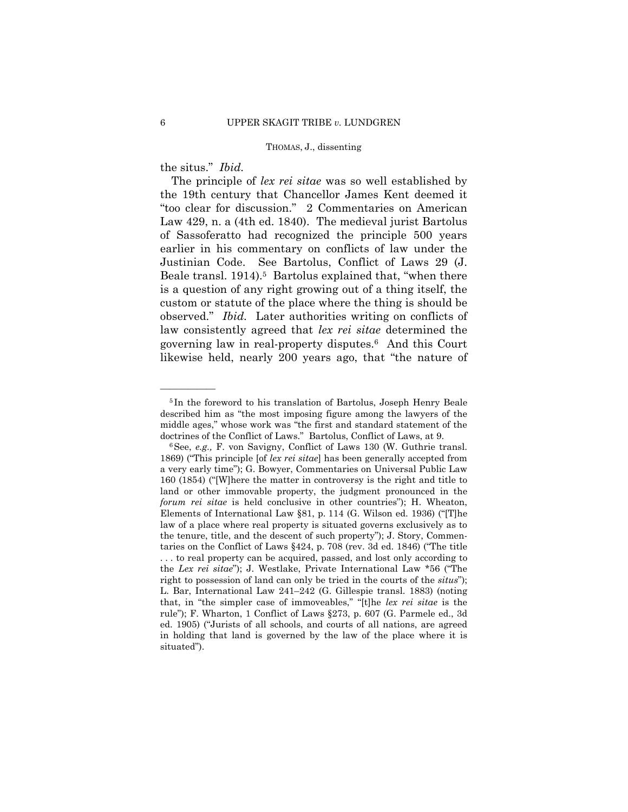the situs." *Ibid.* 

——————

The principle of *lex rei sitae* was so well established by the 19th century that Chancellor James Kent deemed it "too clear for discussion." 2 Commentaries on American Law 429, n. a (4th ed. 1840). The medieval jurist Bartolus of Sassoferatto had recognized the principle 500 years earlier in his commentary on conflicts of law under the Justinian Code. See Bartolus, Conflict of Laws 29 (J. Beale transl. 1914).<sup>5</sup> Bartolus explained that, "when there is a question of any right growing out of a thing itself, the custom or statute of the place where the thing is should be observed." *Ibid.* Later authorities writing on conflicts of law consistently agreed that *lex rei sitae* determined the governing law in real-property disputes.6 And this Court likewise held, nearly 200 years ago, that "the nature of

<sup>5</sup> In the foreword to his translation of Bartolus, Joseph Henry Beale described him as "the most imposing figure among the lawyers of the middle ages," whose work was "the first and standard statement of the doctrines of the Conflict of Laws." Bartolus, Conflict of Laws, at 9.<br><sup>6</sup>See, *e.g.*, F. von Savigny, Conflict of Laws 130 (W. Guthrie transl.)

 ed. 1905) ("Jurists of all schools, and courts of all nations, are agreed 1869) ("This principle [of *lex rei sitae*] has been generally accepted from a very early time"); G. Bowyer, Commentaries on Universal Public Law 160 (1854) ("[W]here the matter in controversy is the right and title to land or other immovable property, the judgment pronounced in the *forum rei sitae* is held conclusive in other countries"); H. Wheaton, Elements of International Law §81, p. 114 (G. Wilson ed. 1936) ("[T]he law of a place where real property is situated governs exclusively as to the tenure, title, and the descent of such property"); J. Story, Commentaries on the Conflict of Laws §424, p. 708 (rev. 3d ed. 1846) ("The title . . . to real property can be acquired, passed, and lost only according to the *Lex rei sitae*"); J. Westlake, Private International Law \*56 ("The right to possession of land can only be tried in the courts of the *situs*"); L. Bar, International Law 241–242 (G. Gillespie transl. 1883) (noting that, in "the simpler case of immoveables," "[t]he *lex rei sitae* is the rule"); F. Wharton, 1 Conflict of Laws §273, p. 607 (G. Parmele ed., 3d in holding that land is governed by the law of the place where it is situated").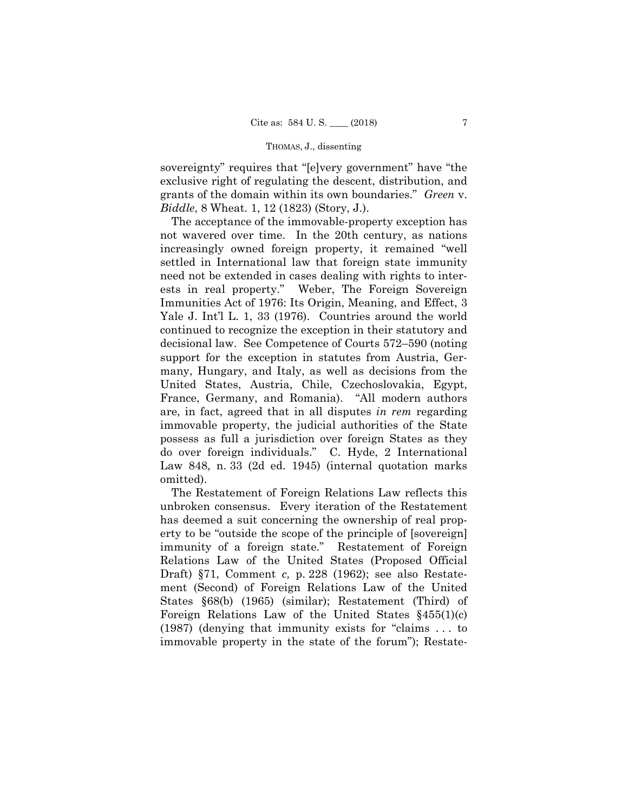sovereignty" requires that "[e]very government" have "the exclusive right of regulating the descent, distribution, and grants of the domain within its own boundaries." *Green* v. *Biddle*, 8 Wheat. 1, 12 (1823) (Story, J.).

The acceptance of the immovable-property exception has not wavered over time. In the 20th century, as nations increasingly owned foreign property, it remained "well settled in International law that foreign state immunity need not be extended in cases dealing with rights to interests in real property." Weber, The Foreign Sovereign Immunities Act of 1976: Its Origin, Meaning, and Effect, 3 Yale J. Int'l L. 1, 33 (1976). Countries around the world continued to recognize the exception in their statutory and decisional law. See Competence of Courts 572–590 (noting support for the exception in statutes from Austria, Germany, Hungary, and Italy, as well as decisions from the United States, Austria, Chile, Czechoslovakia, Egypt, France, Germany, and Romania). "All modern authors are, in fact, agreed that in all disputes *in rem* regarding immovable property, the judicial authorities of the State possess as full a jurisdiction over foreign States as they do over foreign individuals." C. Hyde, 2 International Law 848, n. 33 (2d ed. 1945) (internal quotation marks omitted).

The Restatement of Foreign Relations Law reflects this unbroken consensus. Every iteration of the Restatement has deemed a suit concerning the ownership of real property to be "outside the scope of the principle of [sovereign] immunity of a foreign state." Restatement of Foreign Relations Law of the United States (Proposed Official Draft) §71, Comment *c,* p. 228 (1962); see also Restatement (Second) of Foreign Relations Law of the United States §68(b) (1965) (similar); Restatement (Third) of Foreign Relations Law of the United States §455(1)(c) (1987) (denying that immunity exists for "claims . . . to immovable property in the state of the forum"); Restate-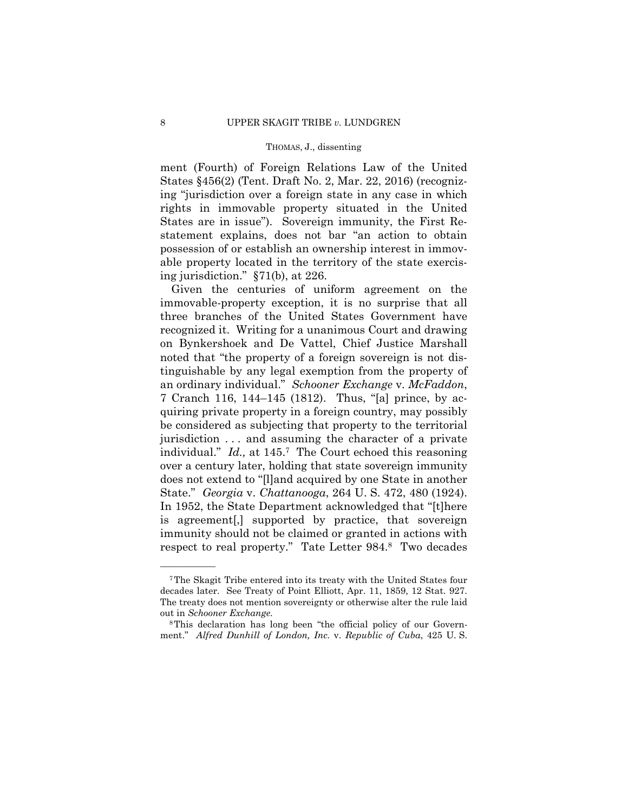ment (Fourth) of Foreign Relations Law of the United States §456(2) (Tent. Draft No. 2, Mar. 22, 2016) (recognizing "jurisdiction over a foreign state in any case in which rights in immovable property situated in the United States are in issue"). Sovereign immunity, the First Restatement explains, does not bar "an action to obtain possession of or establish an ownership interest in immovable property located in the territory of the state exercising jurisdiction." §71(b), at 226.

 an ordinary individual." *Schooner Exchange* v. *McFaddon*, respect to real property." Tate Letter 984.8 Two decades Given the centuries of uniform agreement on the immovable-property exception, it is no surprise that all three branches of the United States Government have recognized it. Writing for a unanimous Court and drawing on Bynkershoek and De Vattel, Chief Justice Marshall noted that "the property of a foreign sovereign is not distinguishable by any legal exemption from the property of 7 Cranch 116, 144–145 (1812). Thus, "[a] prince, by acquiring private property in a foreign country, may possibly be considered as subjecting that property to the territorial jurisdiction . . . and assuming the character of a private individual." *Id.,* at 145.7 The Court echoed this reasoning over a century later, holding that state sovereign immunity does not extend to "[l]and acquired by one State in another State." *Georgia* v. *Chattanooga*, 264 U. S. 472, 480 (1924). In 1952, the State Department acknowledged that "[t]here is agreement[,] supported by practice, that sovereign immunity should not be claimed or granted in actions with

<sup>7</sup>The Skagit Tribe entered into its treaty with the United States four decades later. See Treaty of Point Elliott, Apr. 11, 1859, 12 Stat. 927. The treaty does not mention sovereignty or otherwise alter the rule laid out in *Schooner Exchange*. 8This declaration has long been "the official policy of our Govern-

ment." *Alfred Dunhill of London, Inc.* v. *Republic of Cuba*, 425 U. S.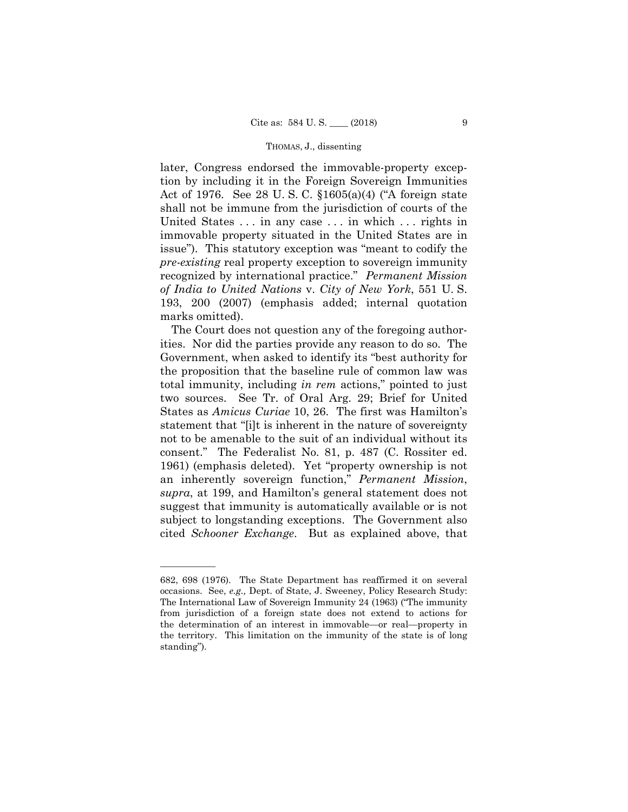later, Congress endorsed the immovable-property exception by including it in the Foreign Sovereign Immunities Act of 1976. See 28 U. S. C. §1605(a)(4) ("A foreign state shall not be immune from the jurisdiction of courts of the United States . . . in any case . . . in which . . . rights in immovable property situated in the United States are in issue"). This statutory exception was "meant to codify the *pre-existing* real property exception to sovereign immunity recognized by international practice." *Permanent Mission of India to United Nations* v. *City of New York*, 551 U. S. 193, 200 (2007) (emphasis added; internal quotation marks omitted).

 States as *Amicus Curiae* 10, 26. The first was Hamilton's The Court does not question any of the foregoing authorities. Nor did the parties provide any reason to do so. The Government, when asked to identify its "best authority for the proposition that the baseline rule of common law was total immunity, including *in rem* actions," pointed to just two sources. See Tr. of Oral Arg. 29; Brief for United statement that "[i]t is inherent in the nature of sovereignty not to be amenable to the suit of an individual without its consent." The Federalist No. 81, p. 487 (C. Rossiter ed. 1961) (emphasis deleted). Yet "property ownership is not an inherently sovereign function," *Permanent Mission*, *supra*, at 199, and Hamilton's general statement does not suggest that immunity is automatically available or is not subject to longstanding exceptions. The Government also cited *Schooner Exchange*. But as explained above, that

 from jurisdiction of a foreign state does not extend to actions for 682, 698 (1976). The State Department has reaffirmed it on several occasions. See, *e.g.,* Dept. of State, J. Sweeney, Policy Research Study: The International Law of Sovereign Immunity 24 (1963) ("The immunity the determination of an interest in immovable—or real—property in the territory. This limitation on the immunity of the state is of long standing").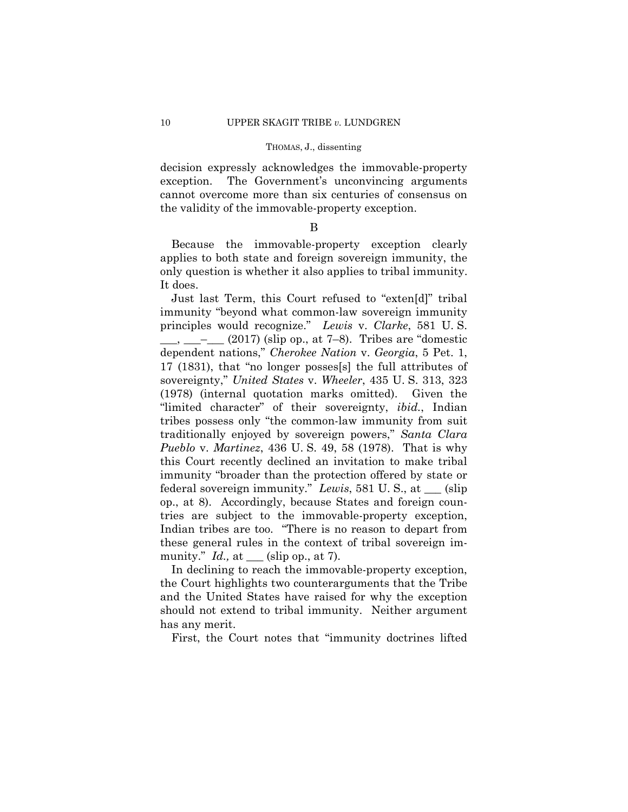decision expressly acknowledges the immovable-property exception. The Government's unconvincing arguments cannot overcome more than six centuries of consensus on the validity of the immovable-property exception.

# B

Because the immovable-property exception clearly applies to both state and foreign sovereign immunity, the only question is whether it also applies to tribal immunity. It does.

Just last Term, this Court refused to "exten[d]" tribal immunity "beyond what common-law sovereign immunity principles would recognize." *Lewis* v. *Clarke*, 581 U. S.  $\frac{1}{\sqrt{2}}$   $\frac{1}{\sqrt{2}}$  (2017) (slip op., at 7–8). Tribes are "domestic dependent nations," *Cherokee Nation* v. *Georgia*, 5 Pet. 1, 17 (1831), that "no longer posses[s] the full attributes of sovereignty," *United States* v. *Wheeler*, 435 U. S. 313, 323 (1978) (internal quotation marks omitted). Given the "limited character" of their sovereignty, *ibid.*, Indian tribes possess only "the common-law immunity from suit traditionally enjoyed by sovereign powers," *Santa Clara Pueblo* v. *Martinez*, 436 U. S. 49, 58 (1978). That is why this Court recently declined an invitation to make tribal immunity "broader than the protection offered by state or federal sovereign immunity." *Lewis*, 581 U. S., at \_\_\_ (slip op., at 8). Accordingly, because States and foreign countries are subject to the immovable-property exception, Indian tribes are too. "There is no reason to depart from these general rules in the context of tribal sovereign immunity." *Id.,* at \_\_\_ (slip op., at 7).

In declining to reach the immovable-property exception, the Court highlights two counterarguments that the Tribe and the United States have raised for why the exception should not extend to tribal immunity. Neither argument has any merit.

First, the Court notes that "immunity doctrines lifted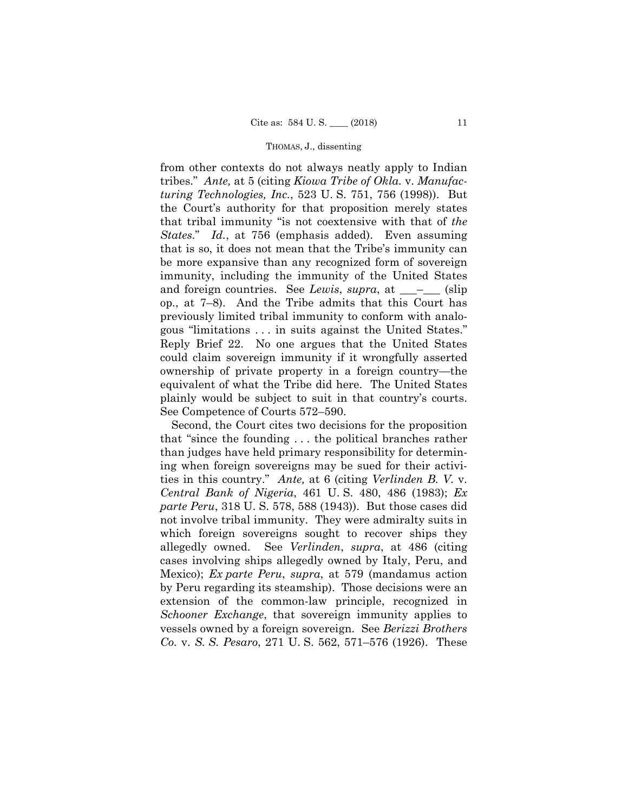*States*." *Id.*, at 756 (emphasis added). Even assuming from other contexts do not always neatly apply to Indian tribes." *Ante,* at 5 (citing *Kiowa Tribe of Okla.* v. *Manufacturing Technologies, Inc.*, 523 U. S. 751, 756 (1998)). But the Court's authority for that proposition merely states that tribal immunity "is not coextensive with that of *the*  that is so, it does not mean that the Tribe's immunity can be more expansive than any recognized form of sovereign immunity, including the immunity of the United States and foreign countries. See *Lewis*, *supra*, at \_\_\_\_\_\_ (slip op., at 7–8). And the Tribe admits that this Court has previously limited tribal immunity to conform with analogous "limitations . . . in suits against the United States." Reply Brief 22. No one argues that the United States could claim sovereign immunity if it wrongfully asserted ownership of private property in a foreign country—the equivalent of what the Tribe did here. The United States plainly would be subject to suit in that country's courts. See Competence of Courts 572–590.

Second, the Court cites two decisions for the proposition that "since the founding . . . the political branches rather than judges have held primary responsibility for determining when foreign sovereigns may be sued for their activities in this country." *Ante,* at 6 (citing *Verlinden B. V.* v. *Central Bank of Nigeria*, 461 U. S. 480, 486 (1983); *Ex parte Peru*, 318 U. S. 578, 588 (1943)). But those cases did not involve tribal immunity. They were admiralty suits in which foreign sovereigns sought to recover ships they allegedly owned. See *Verlinden*, *supra*, at 486 (citing cases involving ships allegedly owned by Italy, Peru, and Mexico); *Ex parte Peru*, *supra*, at 579 (mandamus action by Peru regarding its steamship). Those decisions were an extension of the common-law principle, recognized in *Schooner Exchange*, that sovereign immunity applies to vessels owned by a foreign sovereign. See *Berizzi Brothers Co.* v. *S. S. Pesaro*, 271 U. S. 562, 571–576 (1926). These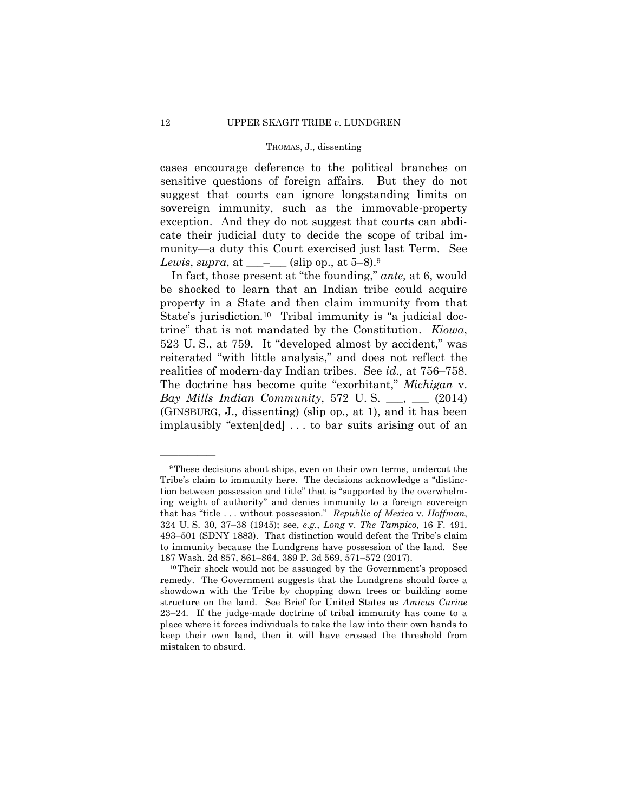cases encourage deference to the political branches on sensitive questions of foreign affairs. But they do not suggest that courts can ignore longstanding limits on sovereign immunity, such as the immovable-property exception. And they do not suggest that courts can abdicate their judicial duty to decide the scope of tribal immunity—a duty this Court exercised just last Term. See *Lewis*, *supra*, at  $\_\_\_\_\_$ (slip op., at 5–8).<sup>9</sup>

In fact, those present at "the founding," *ante,* at 6, would be shocked to learn that an Indian tribe could acquire property in a State and then claim immunity from that State's jurisdiction.<sup>10</sup> Tribal immunity is "a judicial doctrine" that is not mandated by the Constitution. *Kiowa*, 523 U. S., at 759. It "developed almost by accident," was reiterated "with little analysis," and does not reflect the realities of modern-day Indian tribes. See *id.,* at 756–758. The doctrine has become quite "exorbitant," *Michigan* v. *Bay Mills Indian Community*, 572 U.S. \_\_, \_\_ (2014) (GINSBURG, J., dissenting) (slip op., at 1), and it has been implausibly "exten[ded] . . . to bar suits arising out of an

<sup>9</sup>These decisions about ships, even on their own terms, undercut the Tribe's claim to immunity here. The decisions acknowledge a "distinction between possession and title" that is "supported by the overwhelming weight of authority" and denies immunity to a foreign sovereign that has "title . . . without possession." *Republic of Mexico* v. *Hoffman*, 324 U. S. 30, 37–38 (1945); see, *e.g.*, *Long* v. *The Tampico*, 16 F. 491, 493–501 (SDNY 1883). That distinction would defeat the Tribe's claim to immunity because the Lundgrens have possession of the land. See

 remedy. The Government suggests that the Lundgrens should force a 23–24. If the judge-made doctrine of tribal immunity has come to a 187 Wash. 2d 857, 861–864, 389 P. 3d 569, 571–572 (2017). 10Their shock would not be assuaged by the Government's proposed showdown with the Tribe by chopping down trees or building some structure on the land. See Brief for United States as *Amicus Curiae*  place where it forces individuals to take the law into their own hands to keep their own land, then it will have crossed the threshold from mistaken to absurd.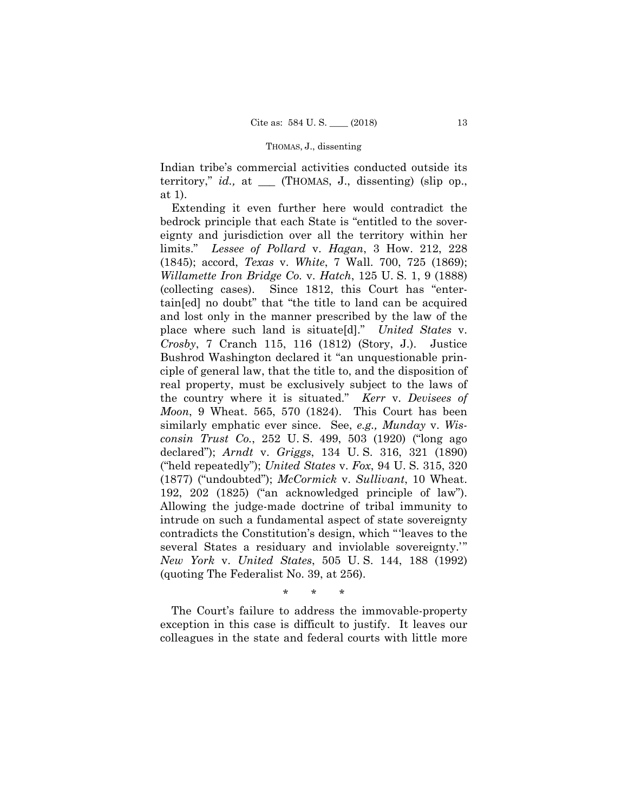Indian tribe's commercial activities conducted outside its territory," *id.,* at \_\_\_ (THOMAS, J., dissenting) (slip op., at 1).

Extending it even further here would contradict the bedrock principle that each State is "entitled to the sovereignty and jurisdiction over all the territory within her limits." *Lessee of Pollard* v. *Hagan*, 3 How. 212, 228 (1845); accord, *Texas* v. *White*, 7 Wall. 700, 725 (1869); *Willamette Iron Bridge Co.* v. *Hatch*, 125 U. S. 1, 9 (1888) (collecting cases). Since 1812, this Court has "entertain[ed] no doubt" that "the title to land can be acquired and lost only in the manner prescribed by the law of the place where such land is situate[d]." *United States* v. *Crosby*, 7 Cranch 115, 116 (1812) (Story, J.). Justice Bushrod Washington declared it "an unquestionable principle of general law, that the title to, and the disposition of real property, must be exclusively subject to the laws of the country where it is situated." *Kerr* v. *Devisees of Moon*, 9 Wheat. 565, 570 (1824). This Court has been similarly emphatic ever since. See, *e.g., Munday* v. *Wisconsin Trust Co.*, 252 U. S. 499, 503 (1920) ("long ago declared"); *Arndt* v. *Griggs*, 134 U. S. 316, 321 (1890) ("held repeatedly"); *United States* v. *Fox*, 94 U. S. 315, 320 (1877) ("undoubted"); *McCormick* v. *Sullivant*, 10 Wheat. 192, 202 (1825) ("an acknowledged principle of law"). Allowing the judge-made doctrine of tribal immunity to intrude on such a fundamental aspect of state sovereignty contradicts the Constitution's design, which "'leaves to the several States a residuary and inviolable sovereignty.'" *New York* v. *United States*, 505 U. S. 144, 188 (1992) (quoting The Federalist No. 39, at 256).

\* \* \*

The Court's failure to address the immovable-property exception in this case is difficult to justify. It leaves our colleagues in the state and federal courts with little more